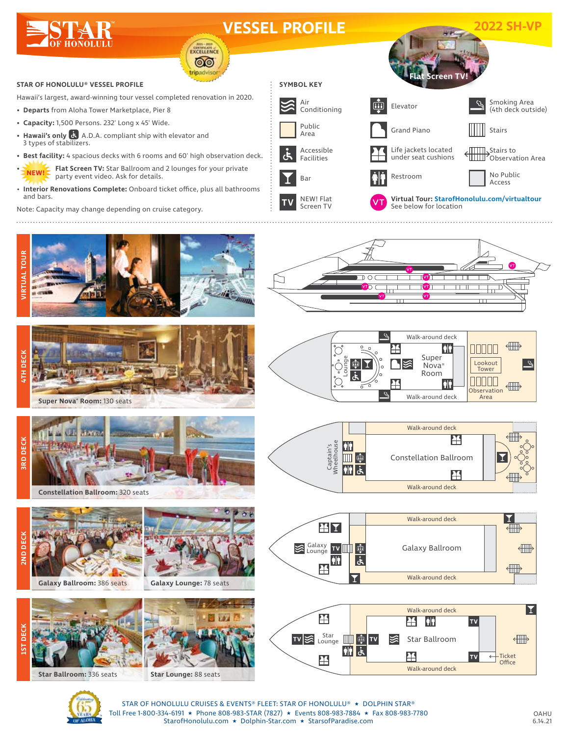

## **VESSEL PROFILE 2022 SH-VP**

EXCELLENCE ෧෧ ripadviso

## **STAR OF HONOLULU® VESSEL PROFILE**

Hawaii's largest, award-winning tour vessel completed renovation in 2020.

- **• Departs** from Aloha Tower Marketplace, Pier 8
- **• Capacity:** 1,500 Persons. 232' Long x 45' Wide.
- **Hawaii's only**  $\ddot{\mathbf{G}}$  A.D.A. compliant ship with elevator and 3 types of stabilizers.
- **• Best facility:** 4 spacious decks with 6 rooms and 60' high observation deck.
- **• Flat Screen TV:** Star Ballroom and 2 lounges for your private party event video. Ask for details. **NEW!**
- **Interior Renovations Complete:** Onboard ticket office, plus all bathrooms and bars.

Note: Capacity may change depending on cruise category.





**Super Nova® Room:** 130 seats



Ĕ



**Constellation Ballroom:** 320 seats



**Galaxy Ballroom:** 386 seats

**Galaxy Lounge:** 78 seats



**Star Ballroom:** 336 seats



















STAR OF HONOLULU CRUISES & EVENTS® FLEET: STAR OF HONOLULU® ★ DOLPHIN STAR® Toll Free 1-800-334-6191 ★ Phone 808-983-STAR (7827) ★ Events 808-983-7884 ★ Fax 808-983-7780 StarofHonolulu.com ★ Dolphin-Star.com ★ StarsofParadise.com